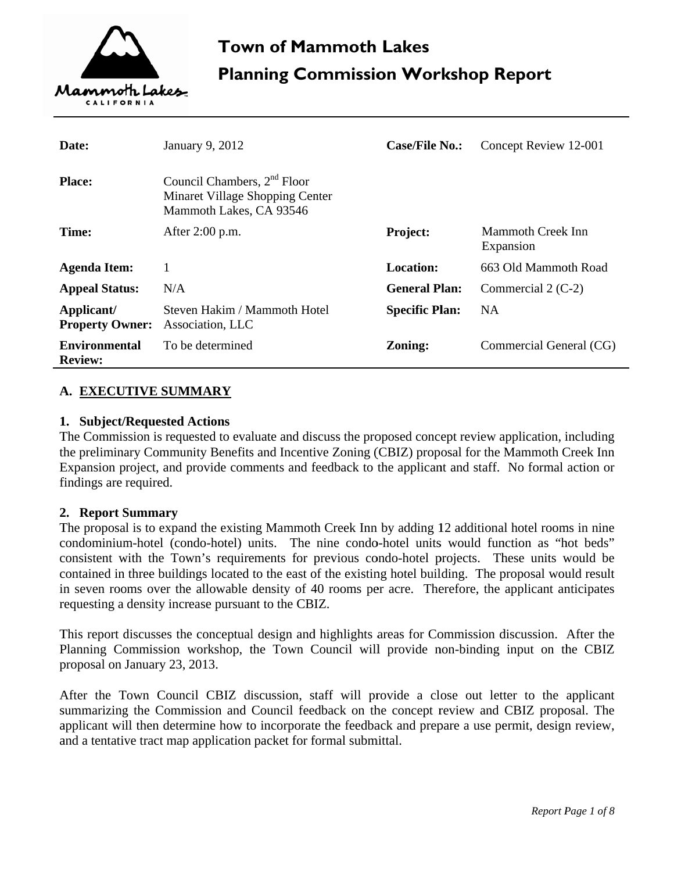

| Date:                                  | January 9, 2012                                                                                       | <b>Case/File No.:</b> | Concept Review 12-001          |
|----------------------------------------|-------------------------------------------------------------------------------------------------------|-----------------------|--------------------------------|
| <b>Place:</b>                          | Council Chambers, 2 <sup>nd</sup> Floor<br>Minaret Village Shopping Center<br>Mammoth Lakes, CA 93546 |                       |                                |
| Time:                                  | After $2:00$ p.m.                                                                                     | <b>Project:</b>       | Mammoth Creek Inn<br>Expansion |
| <b>Agenda Item:</b>                    |                                                                                                       | Location:             | 663 Old Mammoth Road           |
| <b>Appeal Status:</b>                  | N/A                                                                                                   | <b>General Plan:</b>  | Commercial $2$ (C-2)           |
| Applicant/<br><b>Property Owner:</b>   | Steven Hakim / Mammoth Hotel<br>Association, LLC                                                      | <b>Specific Plan:</b> | <b>NA</b>                      |
| <b>Environmental</b><br><b>Review:</b> | To be determined                                                                                      | <b>Zoning:</b>        | Commercial General (CG)        |

## A. EXECUTIVE SUMMARY

#### 1. Subject/Requested Actions

The Commission is requested to evaluate and discuss the proposed concept review application, including the preliminary Community Benefits and Incentive Zoning (CBIZ) proposal for the Mammoth Creek Inn Expansion project, and provide comments and feedback to the applicant and staff. No formal action or findings are required.

#### 2. Report Summary

The proposal is to expand the existing Mammoth Creek Inn by adding 12 additional hotel rooms in nine condominium-hotel (condo-hotel) units. The nine condo-hotel units would function as "hot beds" consistent with the Town's requirements for previous condo-hotel projects. These units would be contained in three buildings located to the east of the existing hotel building. The proposal would result in seven rooms over the allowable density of 40 rooms per acre. Therefore, the applicant anticipates requesting a density increase pursuant to the CBIZ.

This report discusses the conceptual design and highlights areas for Commission discussion. After the Planning Commission workshop, the Town Council will provide non-binding input on the CBIZ proposal on January 23, 2013.

After the Town Council CBIZ discussion, staff will provide a close out letter to the applicant summarizing the Commission and Council feedback on the concept review and CBIZ proposal. The applicant will then determine how to incorporate the feedback and prepare a use permit, design review, and a tentative tract map application packet for formal submittal.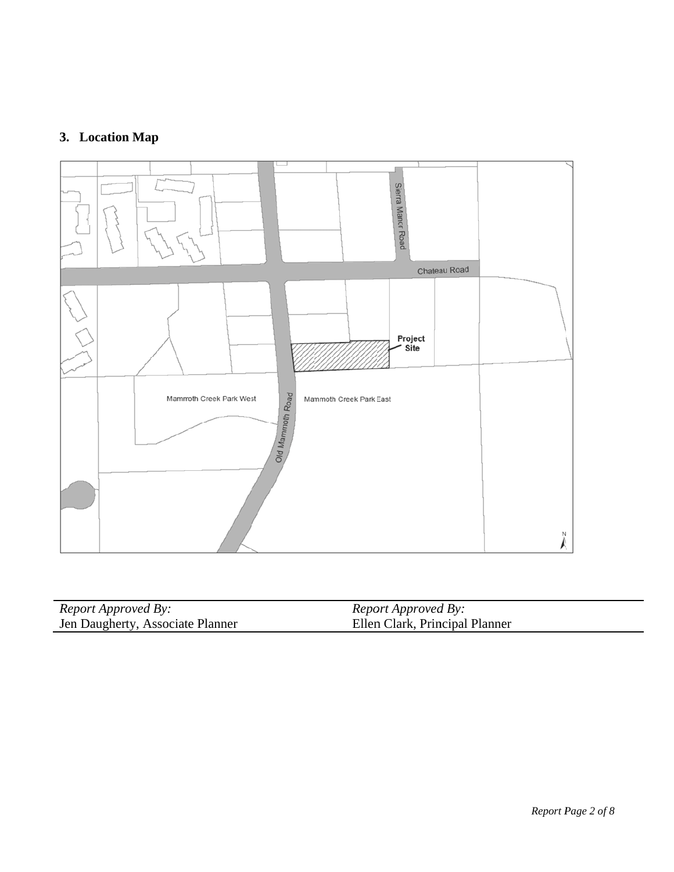# 3. Location Map



| <i>Report Approved By:</i>       | Report Approved By:            |
|----------------------------------|--------------------------------|
| Jen Daugherty, Associate Planner | Ellen Clark, Principal Planner |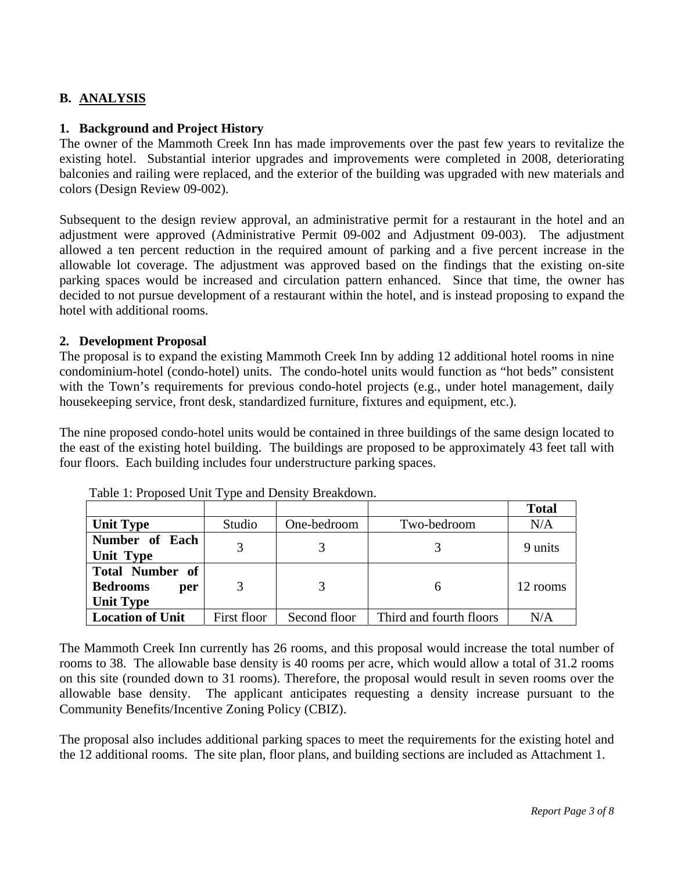# **B. ANALYSIS**

## **1. Background and Project History**

The owner of the Mammoth Creek Inn has made improvements over the past few years to revitalize the existing hotel. Substantial interior upgrades and improvements were completed in 2008, deteriorating balconies and railing were replaced, and the exterior of the building was upgraded with new materials and colors (Design Review 09-002).

Subsequent to the design review approval, an administrative permit for a restaurant in the hotel and an adjustment were approved (Administrative Permit 09-002 and Adjustment 09-003). The adjustment allowed a ten percent reduction in the required amount of parking and a five percent increase in the allowable lot coverage. The adjustment was approved based on the findings that the existing on-site parking spaces would be increased and circulation pattern enhanced. Since that time, the owner has decided to not pursue development of a restaurant within the hotel, and is instead proposing to expand the hotel with additional rooms.

## **2. Development Proposal**

The proposal is to expand the existing Mammoth Creek Inn by adding 12 additional hotel rooms in nine condominium-hotel (condo-hotel) units. The condo-hotel units would function as "hot beds" consistent with the Town's requirements for previous condo-hotel projects (e.g., under hotel management, daily housekeeping service, front desk, standardized furniture, fixtures and equipment, etc.).

The nine proposed condo-hotel units would be contained in three buildings of the same design located to the east of the existing hotel building. The buildings are proposed to be approximately 43 feet tall with four floors. Each building includes four understructure parking spaces.

|                                                                      |             |              |                         | <b>Total</b> |
|----------------------------------------------------------------------|-------------|--------------|-------------------------|--------------|
| <b>Unit Type</b>                                                     | Studio      | One-bedroom  | Two-bedroom             | N/A          |
| Number of Each<br>Unit Type                                          |             |              |                         | 9 units      |
| <b>Total Number of</b><br><b>Bedrooms</b><br>per<br><b>Unit Type</b> | 3           |              |                         | 12 rooms     |
| <b>Location of Unit</b>                                              | First floor | Second floor | Third and fourth floors | N/A          |

Table 1: Proposed Unit Type and Density Breakdown.

The Mammoth Creek Inn currently has 26 rooms, and this proposal would increase the total number of rooms to 38. The allowable base density is 40 rooms per acre, which would allow a total of 31.2 rooms on this site (rounded down to 31 rooms). Therefore, the proposal would result in seven rooms over the allowable base density. The applicant anticipates requesting a density increase pursuant to the Community Benefits/Incentive Zoning Policy (CBIZ).

The proposal also includes additional parking spaces to meet the requirements for the existing hotel and the 12 additional rooms. The site plan, floor plans, and building sections are included as Attachment 1.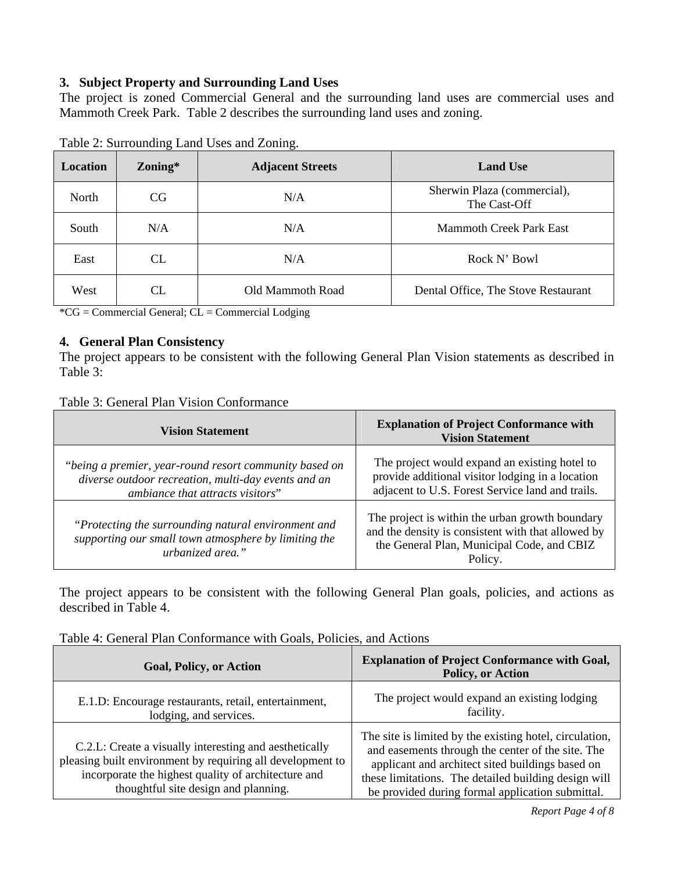## **3. Subject Property and Surrounding Land Uses**

The project is zoned Commercial General and the surrounding land uses are commercial uses and Mammoth Creek Park. Table 2 describes the surrounding land uses and zoning.

| Location | Zoning* | <b>Adjacent Streets</b> | <b>Land Use</b>                             |
|----------|---------|-------------------------|---------------------------------------------|
| North    | CG.     | N/A                     | Sherwin Plaza (commercial),<br>The Cast-Off |
| South    | N/A     | N/A                     | <b>Mammoth Creek Park East</b>              |
| East     | CL      | N/A                     | Rock N' Bowl                                |
| West     | CL      | Old Mammoth Road        | Dental Office, The Stove Restaurant         |

Table 2: Surrounding Land Uses and Zoning.

\*CG = Commercial General; CL = Commercial Lodging

## **4. General Plan Consistency**

The project appears to be consistent with the following General Plan Vision statements as described in Table 3:

#### Table 3: General Plan Vision Conformance

| <b>Vision Statement</b>                                                                                                                           | <b>Explanation of Project Conformance with</b><br><b>Vision Statement</b>                                                                                      |
|---------------------------------------------------------------------------------------------------------------------------------------------------|----------------------------------------------------------------------------------------------------------------------------------------------------------------|
| "being a premier, year-round resort community based on<br>diverse outdoor recreation, multi-day events and an<br>ambiance that attracts visitors" | The project would expand an existing hotel to<br>provide additional visitor lodging in a location<br>adjacent to U.S. Forest Service land and trails.          |
| "Protecting the surrounding natural environment and<br>supporting our small town atmosphere by limiting the<br>urbanized area."                   | The project is within the urban growth boundary<br>and the density is consistent with that allowed by<br>the General Plan, Municipal Code, and CBIZ<br>Policy. |

The project appears to be consistent with the following General Plan goals, policies, and actions as described in Table 4.

| Table 4: General Plan Conformance with Goals, Policies, and Actions |  |  |  |  |
|---------------------------------------------------------------------|--|--|--|--|
|---------------------------------------------------------------------|--|--|--|--|

| <b>Goal, Policy, or Action</b>                                                                                                                                                                                      | <b>Explanation of Project Conformance with Goal,</b><br><b>Policy, or Action</b>                                                                                                                                                                                             |
|---------------------------------------------------------------------------------------------------------------------------------------------------------------------------------------------------------------------|------------------------------------------------------------------------------------------------------------------------------------------------------------------------------------------------------------------------------------------------------------------------------|
| E.1.D: Encourage restaurants, retail, entertainment,<br>lodging, and services.                                                                                                                                      | The project would expand an existing lodging<br>facility.                                                                                                                                                                                                                    |
| C.2.L: Create a visually interesting and aesthetically<br>pleasing built environment by requiring all development to<br>incorporate the highest quality of architecture and<br>thoughtful site design and planning. | The site is limited by the existing hotel, circulation,<br>and easements through the center of the site. The<br>applicant and architect sited buildings based on<br>these limitations. The detailed building design will<br>be provided during formal application submittal. |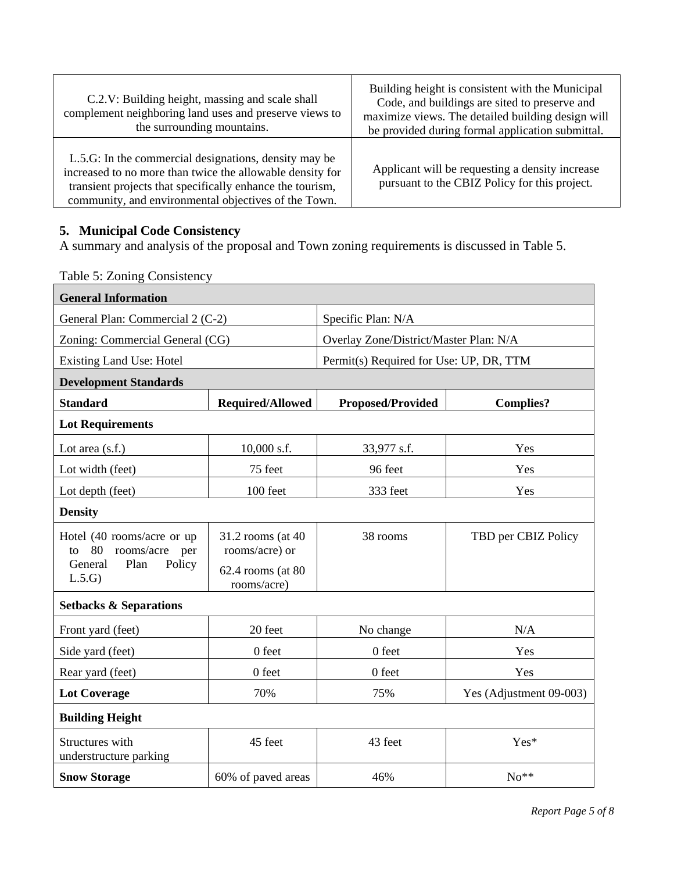| C.2.V: Building height, massing and scale shall<br>complement neighboring land uses and preserve views to<br>the surrounding mountains.                                                                                                 | Building height is consistent with the Municipal<br>Code, and buildings are sited to preserve and<br>maximize views. The detailed building design will<br>be provided during formal application submittal. |
|-----------------------------------------------------------------------------------------------------------------------------------------------------------------------------------------------------------------------------------------|------------------------------------------------------------------------------------------------------------------------------------------------------------------------------------------------------------|
| L.5.G: In the commercial designations, density may be<br>increased to no more than twice the allowable density for<br>transient projects that specifically enhance the tourism,<br>community, and environmental objectives of the Town. | Applicant will be requesting a density increase<br>pursuant to the CBIZ Policy for this project.                                                                                                           |

## **5. Municipal Code Consistency**

A summary and analysis of the proposal and Town zoning requirements is discussed in Table 5.

Table 5: Zoning Consistency

| <b>General Information</b>                                  |                                     |                                         |                         |  |  |
|-------------------------------------------------------------|-------------------------------------|-----------------------------------------|-------------------------|--|--|
| General Plan: Commercial 2 (C-2)                            |                                     | Specific Plan: N/A                      |                         |  |  |
| Zoning: Commercial General (CG)                             |                                     | Overlay Zone/District/Master Plan: N/A  |                         |  |  |
| Existing Land Use: Hotel                                    |                                     | Permit(s) Required for Use: UP, DR, TTM |                         |  |  |
| <b>Development Standards</b>                                |                                     |                                         |                         |  |  |
| <b>Standard</b><br>Required/Allowed                         |                                     | <b>Proposed/Provided</b>                | <b>Complies?</b>        |  |  |
| <b>Lot Requirements</b>                                     |                                     |                                         |                         |  |  |
| Lot area $(s.f.)$                                           | $10,000$ s.f.                       | 33,977 s.f.                             | Yes                     |  |  |
| Lot width (feet)                                            | 75 feet                             | 96 feet                                 | Yes                     |  |  |
| Lot depth (feet)                                            | 100 feet                            | 333 feet                                | Yes                     |  |  |
| <b>Density</b>                                              |                                     |                                         |                         |  |  |
| Hotel (40 rooms/acre or up<br>80<br>rooms/acre<br>per<br>to | 31.2 rooms (at 40<br>rooms/acre) or | 38 rooms                                | TBD per CBIZ Policy     |  |  |
| General<br>Plan<br>Policy<br>L.5.G                          | 62.4 rooms (at 80<br>rooms/acre)    |                                         |                         |  |  |
| <b>Setbacks &amp; Separations</b>                           |                                     |                                         |                         |  |  |
| Front yard (feet)                                           | 20 feet                             | No change                               | N/A                     |  |  |
| Side yard (feet)                                            | 0 feet                              | 0 feet                                  | Yes                     |  |  |
| Rear yard (feet)                                            | 0 feet                              | 0 feet                                  | Yes                     |  |  |
| <b>Lot Coverage</b>                                         | 70%                                 | 75%                                     | Yes (Adjustment 09-003) |  |  |
| <b>Building Height</b>                                      |                                     |                                         |                         |  |  |
| Structures with<br>understructure parking                   | 45 feet                             | 43 feet                                 | Yes*                    |  |  |
| <b>Snow Storage</b>                                         | 60% of paved areas                  | 46%                                     | $No**$                  |  |  |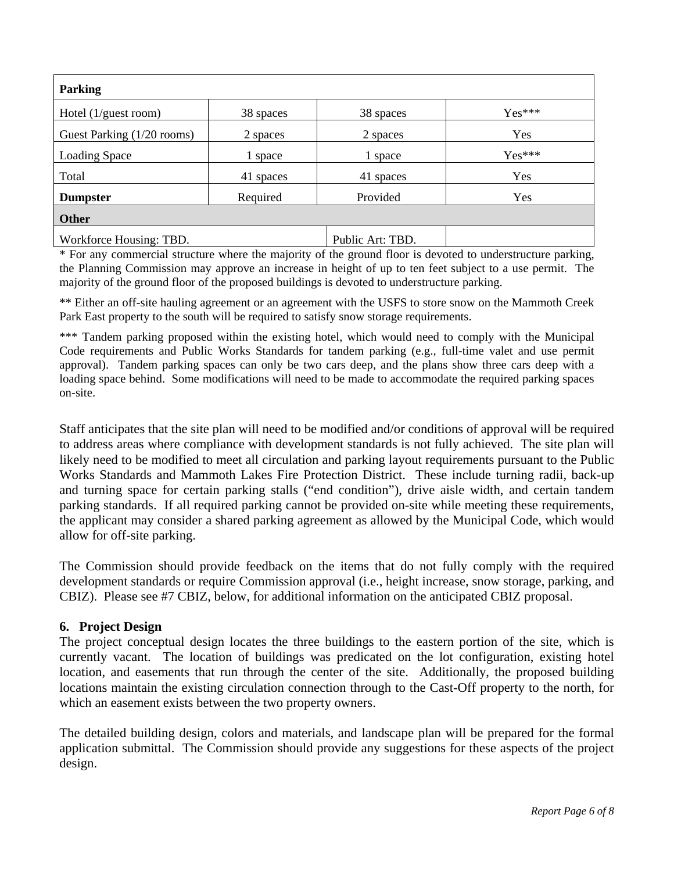| <b>Parking</b>             |           |                  |          |
|----------------------------|-----------|------------------|----------|
| Hotel $(1$ /guest room)    | 38 spaces | 38 spaces        | $Yes***$ |
| Guest Parking (1/20 rooms) | 2 spaces  | 2 spaces         | Yes      |
| <b>Loading Space</b>       | 1 space   | 1 space          | $Yes***$ |
| Total                      | 41 spaces | 41 spaces        | Yes      |
| <b>Dumpster</b>            | Required  | Provided         | Yes      |
| <b>Other</b>               |           |                  |          |
| Workforce Housing: TBD.    |           | Public Art: TBD. |          |

\* For any commercial structure where the majority of the ground floor is devoted to understructure parking, the Planning Commission may approve an increase in height of up to ten feet subject to a use permit. The majority of the ground floor of the proposed buildings is devoted to understructure parking.

\*\* Either an off-site hauling agreement or an agreement with the USFS to store snow on the Mammoth Creek Park East property to the south will be required to satisfy snow storage requirements.

\*\*\* Tandem parking proposed within the existing hotel, which would need to comply with the Municipal Code requirements and Public Works Standards for tandem parking (e.g., full-time valet and use permit approval). Tandem parking spaces can only be two cars deep, and the plans show three cars deep with a loading space behind. Some modifications will need to be made to accommodate the required parking spaces on-site.

Staff anticipates that the site plan will need to be modified and/or conditions of approval will be required to address areas where compliance with development standards is not fully achieved. The site plan will likely need to be modified to meet all circulation and parking layout requirements pursuant to the Public Works Standards and Mammoth Lakes Fire Protection District. These include turning radii, back-up and turning space for certain parking stalls ("end condition"), drive aisle width, and certain tandem parking standards. If all required parking cannot be provided on-site while meeting these requirements, the applicant may consider a shared parking agreement as allowed by the Municipal Code, which would allow for off-site parking.

The Commission should provide feedback on the items that do not fully comply with the required development standards or require Commission approval (i.e., height increase, snow storage, parking, and CBIZ). Please see #7 CBIZ, below, for additional information on the anticipated CBIZ proposal.

## **6. Project Design**

The project conceptual design locates the three buildings to the eastern portion of the site, which is currently vacant. The location of buildings was predicated on the lot configuration, existing hotel location, and easements that run through the center of the site. Additionally, the proposed building locations maintain the existing circulation connection through to the Cast-Off property to the north, for which an easement exists between the two property owners.

The detailed building design, colors and materials, and landscape plan will be prepared for the formal application submittal. The Commission should provide any suggestions for these aspects of the project design.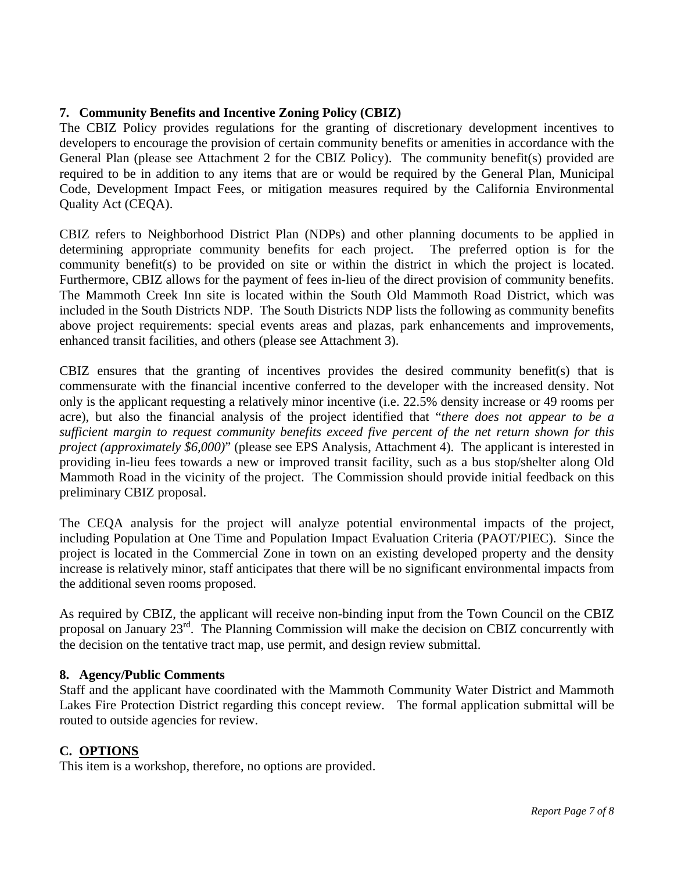## **7. Community Benefits and Incentive Zoning Policy (CBIZ)**

The CBIZ Policy provides regulations for the granting of discretionary development incentives to developers to encourage the provision of certain community benefits or amenities in accordance with the General Plan (please see Attachment 2 for the CBIZ Policy). The community benefit(s) provided are required to be in addition to any items that are or would be required by the General Plan, Municipal Code, Development Impact Fees, or mitigation measures required by the California Environmental Quality Act (CEQA).

CBIZ refers to Neighborhood District Plan (NDPs) and other planning documents to be applied in determining appropriate community benefits for each project. The preferred option is for the community benefit(s) to be provided on site or within the district in which the project is located. Furthermore, CBIZ allows for the payment of fees in-lieu of the direct provision of community benefits. The Mammoth Creek Inn site is located within the South Old Mammoth Road District, which was included in the South Districts NDP. The South Districts NDP lists the following as community benefits above project requirements: special events areas and plazas, park enhancements and improvements, enhanced transit facilities, and others (please see Attachment 3).

CBIZ ensures that the granting of incentives provides the desired community benefit(s) that is commensurate with the financial incentive conferred to the developer with the increased density. Not only is the applicant requesting a relatively minor incentive (i.e. 22.5% density increase or 49 rooms per acre), but also the financial analysis of the project identified that "*there does not appear to be a sufficient margin to request community benefits exceed five percent of the net return shown for this project (approximately \$6,000)*" (please see EPS Analysis, Attachment 4). The applicant is interested in providing in-lieu fees towards a new or improved transit facility, such as a bus stop/shelter along Old Mammoth Road in the vicinity of the project. The Commission should provide initial feedback on this preliminary CBIZ proposal.

The CEQA analysis for the project will analyze potential environmental impacts of the project, including Population at One Time and Population Impact Evaluation Criteria (PAOT/PIEC). Since the project is located in the Commercial Zone in town on an existing developed property and the density increase is relatively minor, staff anticipates that there will be no significant environmental impacts from the additional seven rooms proposed.

As required by CBIZ, the applicant will receive non-binding input from the Town Council on the CBIZ proposal on January 23rd. The Planning Commission will make the decision on CBIZ concurrently with the decision on the tentative tract map, use permit, and design review submittal.

## **8. Agency/Public Comments**

Staff and the applicant have coordinated with the Mammoth Community Water District and Mammoth Lakes Fire Protection District regarding this concept review. The formal application submittal will be routed to outside agencies for review.

## **C. OPTIONS**

This item is a workshop, therefore, no options are provided.